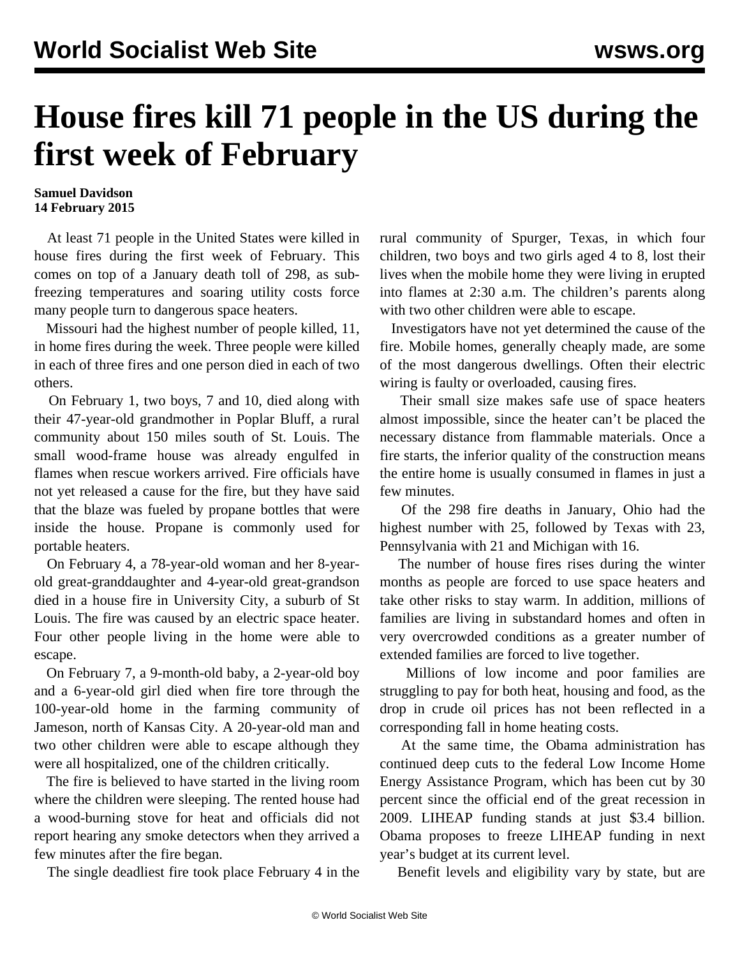## **House fires kill 71 people in the US during the first week of February**

## **Samuel Davidson 14 February 2015**

 At least 71 people in the United States were killed in house fires during the first week of February. This comes on top of a January death toll of 298, as subfreezing temperatures and soaring utility costs force many people turn to dangerous space heaters.

 Missouri had the highest number of people killed, 11, in home fires during the week. Three people were killed in each of three fires and one person died in each of two others.

 On February 1, two boys, 7 and 10, died along with their 47-year-old grandmother in Poplar Bluff, a rural community about 150 miles south of St. Louis. The small wood-frame house was already engulfed in flames when rescue workers arrived. Fire officials have not yet released a cause for the fire, but they have said that the blaze was fueled by propane bottles that were inside the house. Propane is commonly used for portable heaters.

 On February 4, a 78-year-old woman and her 8-yearold great-granddaughter and 4-year-old great-grandson died in a house fire in University City, a suburb of St Louis. The fire was caused by an electric space heater. Four other people living in the home were able to escape.

 On February 7, a 9-month-old baby, a 2-year-old boy and a 6-year-old girl died when fire tore through the 100-year-old home in the farming community of Jameson, north of Kansas City. A 20-year-old man and two other children were able to escape although they were all hospitalized, one of the children critically.

 The fire is believed to have started in the living room where the children were sleeping. The rented house had a wood-burning stove for heat and officials did not report hearing any smoke detectors when they arrived a few minutes after the fire began.

The single deadliest fire took place February 4 in the

rural community of Spurger, Texas, in which four children, two boys and two girls aged 4 to 8, lost their lives when the mobile home they were living in erupted into flames at 2:30 a.m. The children's parents along with two other children were able to escape.

 Investigators have not yet determined the cause of the fire. Mobile homes, generally cheaply made, are some of the most dangerous dwellings. Often their electric wiring is faulty or overloaded, causing fires.

 Their small size makes safe use of space heaters almost impossible, since the heater can't be placed the necessary distance from flammable materials. Once a fire starts, the inferior quality of the construction means the entire home is usually consumed in flames in just a few minutes.

 Of the 298 fire deaths in January, Ohio had the highest number with 25, followed by Texas with 23, Pennsylvania with 21 and Michigan with 16.

 The number of house fires rises during the winter months as people are forced to use space heaters and take other risks to stay warm. In addition, millions of families are living in substandard homes and often in very overcrowded conditions as a greater number of extended families are forced to live together.

 Millions of low income and poor families are struggling to pay for both heat, housing and food, as the drop in crude oil prices has not been reflected in a corresponding fall in home heating costs.

 At the same time, the Obama administration has continued deep cuts to the federal Low Income Home Energy Assistance Program, which has been cut by 30 percent since the official end of the great recession in 2009. LIHEAP funding stands at just \$3.4 billion. Obama proposes to freeze LIHEAP funding in next year's budget at its current level.

Benefit levels and eligibility vary by state, but are